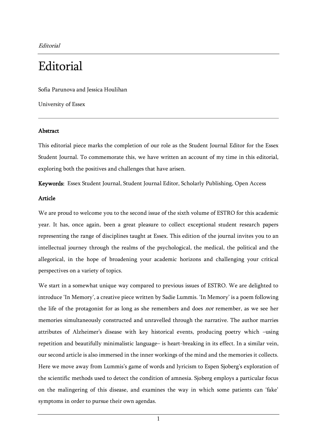Editorial

## **Editorial**

Sofia Parunova and Jessica Houlihan

University of Essex

## Abstract

This editorial piece marks the completion of our role as the Student Journal Editor for the Essex Student Journal. To commemorate this, we have written an account of my time in this editorial, exploring both the positives and challenges that have arisen.

Keywords: Essex Student Journal, Student Journal Editor, Scholarly Publishing, Open Access

## Article

We are proud to welcome you to the second issue of the sixth volume of ESTRO for this academic year. It has, once again, been a great pleasure to collect exceptional student research papers representing the range of disciplines taught at Essex. This edition of the journal invites you to an intellectual journey through the realms of the psychological, the medical, the political and the allegorical, in the hope of broadening your academic horizons and challenging your critical perspectives on a variety of topics.

We start in a somewhat unique way compared to previous issues of ESTRO. We are delighted to introduce 'In Memory', a creative piece written by Sadie Lummis. 'In Memory' is a poem following the life of the protagonist for as long as she remembers and does not remember, as we see her memories simultaneously constructed and unravelled through the narrative. The author marries attributes of Alzheimer's disease with key historical events, producing poetry which –using repetition and beautifully minimalistic language– is heart-breaking in its effect. In a similar vein, our second article is also immersed in the inner workings of the mind and the memories it collects. Here we move away from Lummis's game of words and lyricism to Espen Sjoberg's exploration of the scientific methods used to detect the condition of amnesia. Sjoberg employs a particular focus on the malingering of this disease, and examines the way in which some patients can 'fake' symptoms in order to pursue their own agendas.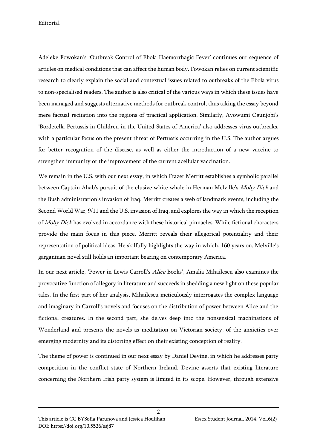Editorial

Adeleke Fowokan's 'Outbreak Control of Ebola Haemorrhagic Fever' continues our sequence of articles on medical conditions that can affect the human body. Fowokan relies on current scientific research to clearly explain the social and contextual issues related to outbreaks of the Ebola virus to non-specialised readers. The author is also critical of the various ways in which these issues have been managed and suggests alternative methods for outbreak control, thus taking the essay beyond mere factual recitation into the regions of practical application. Similarly, Ayowumi Ogunjobi's 'Bordetella Pertussis in Children in the United States of America' also addresses virus outbreaks, with a particular focus on the present threat of Pertussis occurring in the U.S. The author argues for better recognition of the disease, as well as either the introduction of a new vaccine to strengthen immunity or the improvement of the current acellular vaccination.

We remain in the U.S. with our next essay, in which Frazer Merritt establishes a symbolic parallel between Captain Ahab's pursuit of the elusive white whale in Herman Melville's Moby Dick and the Bush administration's invasion of Iraq. Merritt creates a web of landmark events, including the Second World War, 9/11 and the U.S. invasion of Iraq, and explores the way in which the reception of Moby Dick has evolved in accordance with these historical pinnacles. While fictional characters provide the main focus in this piece, Merritt reveals their allegorical potentiality and their representation of political ideas. He skilfully highlights the way in which, 160 years on, Melville's gargantuan novel still holds an important bearing on contemporary America.

In our next article, 'Power in Lewis Carroll's Alice Books', Amalia Mihailescu also examines the provocative function of allegory in literature and succeeds in shedding a new light on these popular tales. In the first part of her analysis, Mihailescu meticulously interrogates the complex language and imaginary in Carroll's novels and focuses on the distribution of power between Alice and the fictional creatures. In the second part, she delves deep into the nonsensical machinations of Wonderland and presents the novels as meditation on Victorian society, of the anxieties over emerging modernity and its distorting effect on their existing conception of reality.

The theme of power is continued in our next essay by Daniel Devine, in which he addresses party competition in the conflict state of Northern Ireland. Devine asserts that existing literature concerning the Northern Irish party system is limited in its scope. However, through extensive

 $\overline{2}$